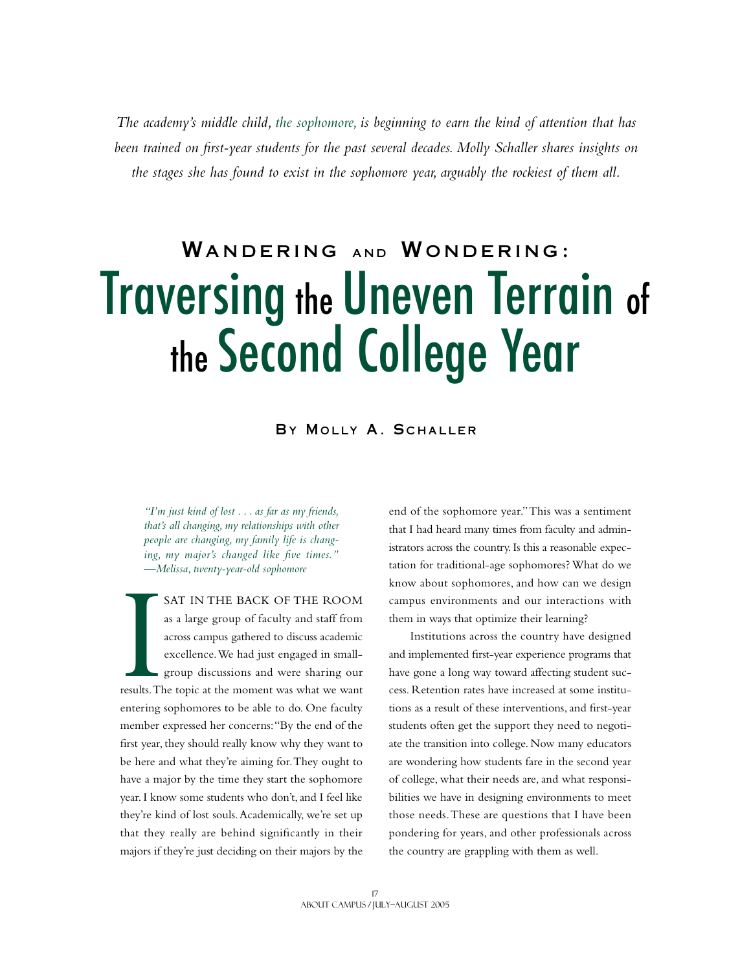*The academy's middle child, the sophomore, is beginning to earn the kind of attention that has been trained on first-year students for the past several decades. Molly Schaller shares insights on the stages she has found to exist in the sophomore year, arguably the rockiest of them all.*

# WANDERING AND WONDERING: Traversing the Uneven Terrain of the Second College Year

BY MOLLY A. SCHALLER

*"I'm just kind of lost . . . as far as my friends, that's all changing, my relationships with other people are changing, my family life is changing, my major's changed like five times." —Melissa, twenty-year-old sophomore*

International Contractor SAT IN THE BACK OF THE ROOM as a large group of faculty and staff from across campus gathered to discuss academic excellence.We had just engaged in smallgroup discussions and were sharing our results.The topic at the moment was what we want entering sophomores to be able to do. One faculty member expressed her concerns:"By the end of the first year, they should really know why they want to be here and what they're aiming for.They ought to have a major by the time they start the sophomore year. I know some students who don't, and I feel like they're kind of lost souls.Academically, we're set up that they really are behind significantly in their majors if they're just deciding on their majors by the

end of the sophomore year."This was a sentiment that I had heard many times from faculty and administrators across the country. Is this a reasonable expectation for traditional-age sophomores? What do we know about sophomores, and how can we design campus environments and our interactions with them in ways that optimize their learning?

Institutions across the country have designed and implemented first-year experience programs that have gone a long way toward affecting student success. Retention rates have increased at some institutions as a result of these interventions, and first-year students often get the support they need to negotiate the transition into college. Now many educators are wondering how students fare in the second year of college, what their needs are, and what responsibilities we have in designing environments to meet those needs.These are questions that I have been pondering for years, and other professionals across the country are grappling with them as well.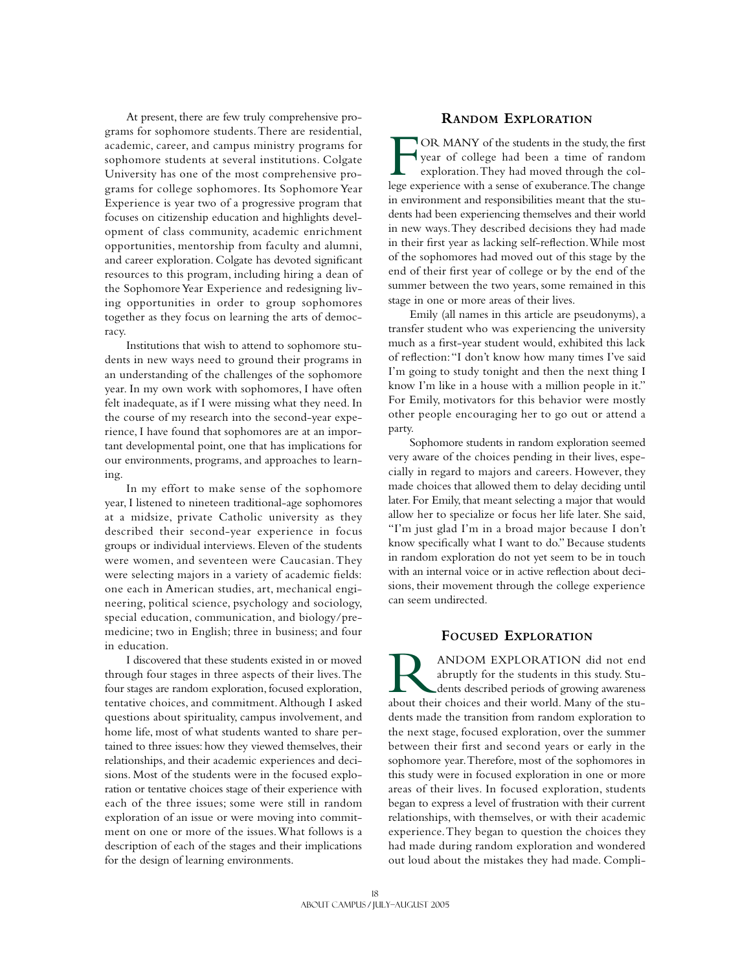At present, there are few truly comprehensive programs for sophomore students.There are residential, academic, career, and campus ministry programs for sophomore students at several institutions. Colgate University has one of the most comprehensive programs for college sophomores. Its Sophomore Year Experience is year two of a progressive program that focuses on citizenship education and highlights development of class community, academic enrichment opportunities, mentorship from faculty and alumni, and career exploration. Colgate has devoted significant resources to this program, including hiring a dean of the Sophomore Year Experience and redesigning living opportunities in order to group sophomores together as they focus on learning the arts of democracy.

Institutions that wish to attend to sophomore students in new ways need to ground their programs in an understanding of the challenges of the sophomore year. In my own work with sophomores, I have often felt inadequate, as if I were missing what they need. In the course of my research into the second-year experience, I have found that sophomores are at an important developmental point, one that has implications for our environments, programs, and approaches to learning.

In my effort to make sense of the sophomore year, I listened to nineteen traditional-age sophomores at a midsize, private Catholic university as they described their second-year experience in focus groups or individual interviews. Eleven of the students were women, and seventeen were Caucasian.They were selecting majors in a variety of academic fields: one each in American studies, art, mechanical engineering, political science, psychology and sociology, special education, communication, and biology/premedicine; two in English; three in business; and four in education.

I discovered that these students existed in or moved through four stages in three aspects of their lives.The four stages are random exploration, focused exploration, tentative choices, and commitment.Although I asked questions about spirituality, campus involvement, and home life, most of what students wanted to share pertained to three issues: how they viewed themselves, their relationships, and their academic experiences and decisions. Most of the students were in the focused exploration or tentative choices stage of their experience with each of the three issues; some were still in random exploration of an issue or were moving into commitment on one or more of the issues.What follows is a description of each of the stages and their implications for the design of learning environments.

### **RANDOM EXPLORATION**

FOR MANY of the students in the study, the first<br>year of college had been a time of random<br>exploration. They had moved through the col-<br>lege experience with a sense of exuberance. The change year of college had been a time of random exploration.They had moved through the college experience with a sense of exuberance.The change in environment and responsibilities meant that the students had been experiencing themselves and their world in new ways.They described decisions they had made in their first year as lacking self-reflection.While most of the sophomores had moved out of this stage by the end of their first year of college or by the end of the summer between the two years, some remained in this stage in one or more areas of their lives.

Emily (all names in this article are pseudonyms), a transfer student who was experiencing the university much as a first-year student would, exhibited this lack of reflection:"I don't know how many times I've said I'm going to study tonight and then the next thing I know I'm like in a house with a million people in it." For Emily, motivators for this behavior were mostly other people encouraging her to go out or attend a party.

Sophomore students in random exploration seemed very aware of the choices pending in their lives, especially in regard to majors and careers. However, they made choices that allowed them to delay deciding until later. For Emily, that meant selecting a major that would allow her to specialize or focus her life later. She said, "I'm just glad I'm in a broad major because I don't know specifically what I want to do." Because students in random exploration do not yet seem to be in touch with an internal voice or in active reflection about decisions, their movement through the college experience can seem undirected.

#### **FOCUSED EXPLORATION**

RANDOM EXPLORATION did not end<br>abruptly for the students in this study. Stu-<br>dents described periods of growing awareness<br>about their choices and their world. Many of the stuabruptly for the students in this study. Students described periods of growing awareness dents made the transition from random exploration to the next stage, focused exploration, over the summer between their first and second years or early in the sophomore year.Therefore, most of the sophomores in this study were in focused exploration in one or more areas of their lives. In focused exploration, students began to express a level of frustration with their current relationships, with themselves, or with their academic experience.They began to question the choices they had made during random exploration and wondered out loud about the mistakes they had made. Compli-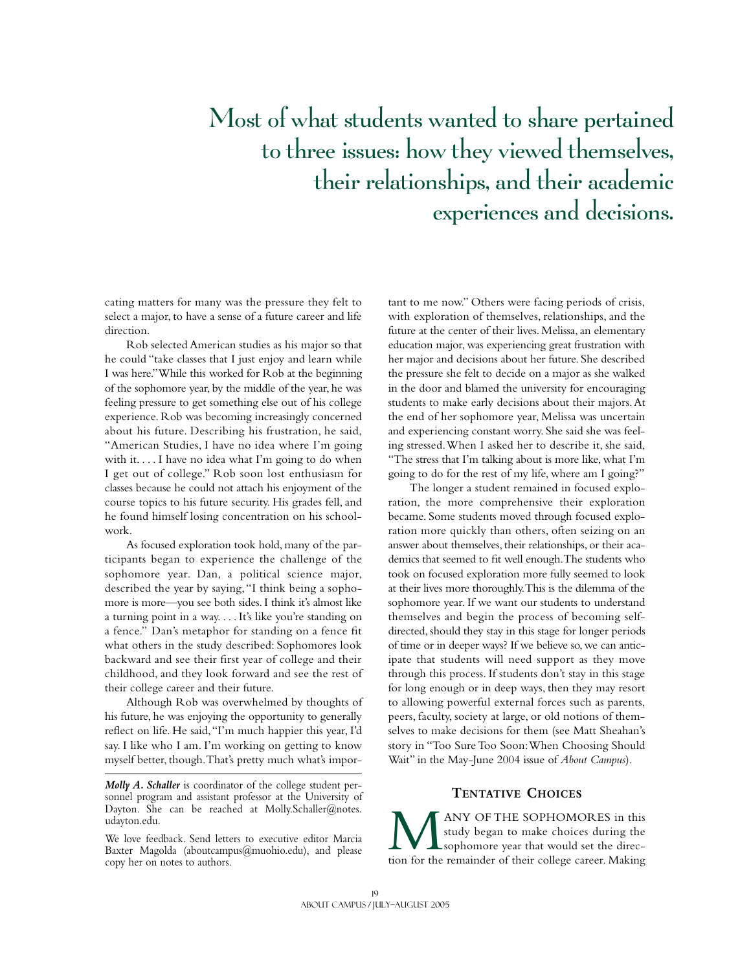# Most of what students wanted to share pertained to three issues: how they viewed themselves, their relationships, and their academic experiences and decisions.

cating matters for many was the pressure they felt to select a major, to have a sense of a future career and life direction.

Rob selected American studies as his major so that he could "take classes that I just enjoy and learn while I was here."While this worked for Rob at the beginning of the sophomore year, by the middle of the year, he was feeling pressure to get something else out of his college experience. Rob was becoming increasingly concerned about his future. Describing his frustration, he said, "American Studies, I have no idea where I'm going with it. . . . I have no idea what I'm going to do when I get out of college." Rob soon lost enthusiasm for classes because he could not attach his enjoyment of the course topics to his future security. His grades fell, and he found himself losing concentration on his schoolwork.

As focused exploration took hold, many of the participants began to experience the challenge of the sophomore year. Dan, a political science major, described the year by saying,"I think being a sophomore is more—you see both sides. I think it's almost like a turning point in a way. . . . It's like you're standing on a fence." Dan's metaphor for standing on a fence fit what others in the study described: Sophomores look backward and see their first year of college and their childhood, and they look forward and see the rest of their college career and their future.

Although Rob was overwhelmed by thoughts of his future, he was enjoying the opportunity to generally reflect on life. He said,"I'm much happier this year, I'd say. I like who I am. I'm working on getting to know myself better, though.That's pretty much what's impor-

We love feedback. Send letters to executive editor Marcia Baxter Magolda (aboutcampus@muohio.edu), and please copy her on notes to authors.

tant to me now." Others were facing periods of crisis, with exploration of themselves, relationships, and the future at the center of their lives. Melissa, an elementary education major, was experiencing great frustration with her major and decisions about her future. She described the pressure she felt to decide on a major as she walked in the door and blamed the university for encouraging students to make early decisions about their majors.At the end of her sophomore year, Melissa was uncertain and experiencing constant worry. She said she was feeling stressed.When I asked her to describe it, she said, "The stress that I'm talking about is more like, what I'm going to do for the rest of my life, where am I going?"

The longer a student remained in focused exploration, the more comprehensive their exploration became. Some students moved through focused exploration more quickly than others, often seizing on an answer about themselves, their relationships, or their academics that seemed to fit well enough.The students who took on focused exploration more fully seemed to look at their lives more thoroughly.This is the dilemma of the sophomore year. If we want our students to understand themselves and begin the process of becoming selfdirected, should they stay in this stage for longer periods of time or in deeper ways? If we believe so, we can anticipate that students will need support as they move through this process. If students don't stay in this stage for long enough or in deep ways, then they may resort to allowing powerful external forces such as parents, peers, faculty, society at large, or old notions of themselves to make decisions for them (see Matt Sheahan's story in "Too Sure Too Soon:When Choosing Should Wait" in the May-June 2004 issue of *About Campus*).

### **TENTATIVE CHOICES**

MANY OF THE SOPHOMORES in this<br>study began to make choices during the<br>sophomore year that would set the direc-<br>tion for the remainder of their college career. Making study began to make choices during the sophomore year that would set the direction for the remainder of their college career. Making

*Molly A. Schaller* is coordinator of the college student personnel program and assistant professor at the University of Dayton. She can be reached at Molly.Schaller@notes. udayton.edu.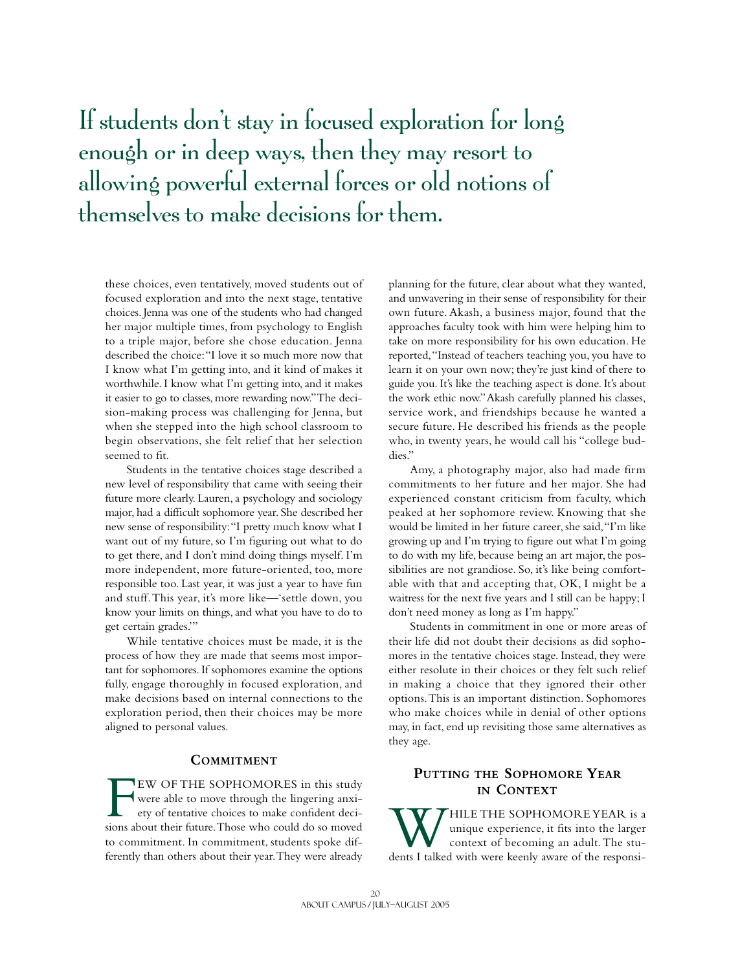# If students don't stay in focused exploration for long enough or in deep ways, then they may resort to allowing powerful external forces or old notions of themselves to make decisions for them.

these choices, even tentatively, moved students out of focused exploration and into the next stage, tentative choices. Jenna was one of the students who had changed her major multiple times, from psychology to English to a triple major, before she chose education. Jenna described the choice:"I love it so much more now that I know what I'm getting into, and it kind of makes it worthwhile. I know what I'm getting into, and it makes it easier to go to classes, more rewarding now."The decision-making process was challenging for Jenna, but when she stepped into the high school classroom to begin observations, she felt relief that her selection seemed to fit.

Students in the tentative choices stage described a new level of responsibility that came with seeing their future more clearly. Lauren, a psychology and sociology major, had a difficult sophomore year. She described her new sense of responsibility:"I pretty much know what I want out of my future, so I'm figuring out what to do to get there, and I don't mind doing things myself. I'm more independent, more future-oriented, too, more responsible too. Last year, it was just a year to have fun and stuff.This year, it's more like—'settle down, you know your limits on things, and what you have to do to get certain grades.'"

While tentative choices must be made, it is the process of how they are made that seems most important for sophomores. If sophomores examine the options fully, engage thoroughly in focused exploration, and make decisions based on internal connections to the exploration period, then their choices may be more aligned to personal values.

### **COMMITMENT**

**FEW OF THE SOPHOMORES** in this study<br>were able to move through the lingering anxi-<br>ety of tentative choices to make confident deci-<br>sions about their future. Those who could do so moved were able to move through the lingering anxiety of tentative choices to make confident decisions about their future.Those who could do so moved to commitment. In commitment, students spoke differently than others about their year.They were already planning for the future, clear about what they wanted, and unwavering in their sense of responsibility for their own future. Akash, a business major, found that the approaches faculty took with him were helping him to take on more responsibility for his own education. He reported,"Instead of teachers teaching you, you have to learn it on your own now; they're just kind of there to guide you. It's like the teaching aspect is done. It's about the work ethic now."Akash carefully planned his classes, service work, and friendships because he wanted a secure future. He described his friends as the people who, in twenty years, he would call his "college buddies."

Amy, a photography major, also had made firm commitments to her future and her major. She had experienced constant criticism from faculty, which peaked at her sophomore review. Knowing that she would be limited in her future career, she said,"I'm like growing up and I'm trying to figure out what I'm going to do with my life, because being an art major, the possibilities are not grandiose. So, it's like being comfortable with that and accepting that, OK, I might be a waitress for the next five years and I still can be happy; I don't need money as long as I'm happy."

Students in commitment in one or more areas of their life did not doubt their decisions as did sophomores in the tentative choices stage. Instead, they were either resolute in their choices or they felt such relief in making a choice that they ignored their other options.This is an important distinction. Sophomores who make choices while in denial of other options may, in fact, end up revisiting those same alternatives as they age.

# **PUTTING THE SOPHOMORE YEAR IN CONTEXT**

WHILE THE SOPHOMORE YEAR is a unique experience, it fits into the larger context of becoming an adult. The students I talked with were keenly aware of the responsiunique experience, it fits into the larger context of becoming an adult.The stu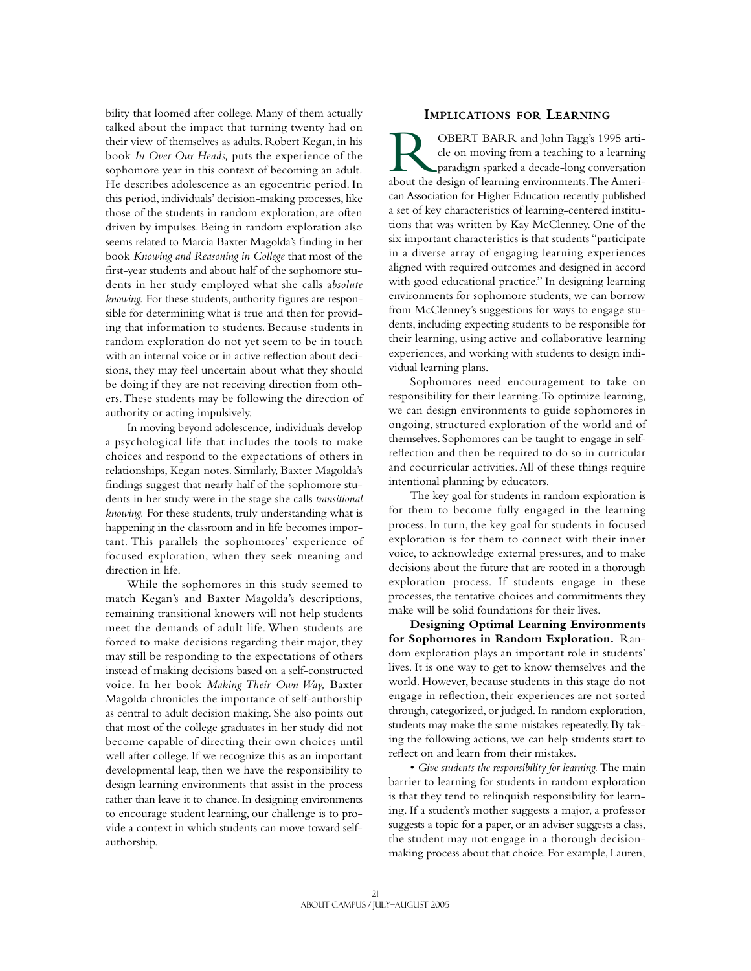bility that loomed after college. Many of them actually talked about the impact that turning twenty had on their view of themselves as adults. Robert Kegan, in his book *In Over Our Heads,* puts the experience of the sophomore year in this context of becoming an adult. He describes adolescence as an egocentric period. In this period, individuals' decision-making processes, like those of the students in random exploration, are often driven by impulses. Being in random exploration also seems related to Marcia Baxter Magolda's finding in her book *Knowing and Reasoning in College* that most of the first-year students and about half of the sophomore students in her study employed what she calls a*bsolute knowing.* For these students, authority figures are responsible for determining what is true and then for providing that information to students. Because students in random exploration do not yet seem to be in touch with an internal voice or in active reflection about decisions, they may feel uncertain about what they should be doing if they are not receiving direction from others.These students may be following the direction of authority or acting impulsively.

In moving beyond adolescence*,* individuals develop a psychological life that includes the tools to make choices and respond to the expectations of others in relationships, Kegan notes. Similarly, Baxter Magolda's findings suggest that nearly half of the sophomore students in her study were in the stage she calls *transitional knowing.* For these students, truly understanding what is happening in the classroom and in life becomes important. This parallels the sophomores' experience of focused exploration, when they seek meaning and direction in life.

While the sophomores in this study seemed to match Kegan's and Baxter Magolda's descriptions, remaining transitional knowers will not help students meet the demands of adult life. When students are forced to make decisions regarding their major, they may still be responding to the expectations of others instead of making decisions based on a self-constructed voice. In her book *Making Their Own Way,* Baxter Magolda chronicles the importance of self-authorship as central to adult decision making. She also points out that most of the college graduates in her study did not become capable of directing their own choices until well after college. If we recognize this as an important developmental leap, then we have the responsibility to design learning environments that assist in the process rather than leave it to chance. In designing environments to encourage student learning, our challenge is to provide a context in which students can move toward selfauthorship.

### **IMPLICATIONS FOR LEARNING**

ROBERT BARR and John Tagg's 1995 arti-<br>cle on moving from a teaching to a learning<br>paradigm sparked a decade-long conversation<br>about the design of learning environments. The Americle on moving from a teaching to a learning paradigm sparked a decade-long conversation can Association for Higher Education recently published a set of key characteristics of learning-centered institutions that was written by Kay McClenney. One of the six important characteristics is that students "participate in a diverse array of engaging learning experiences aligned with required outcomes and designed in accord with good educational practice." In designing learning environments for sophomore students, we can borrow from McClenney's suggestions for ways to engage students, including expecting students to be responsible for their learning, using active and collaborative learning experiences, and working with students to design individual learning plans.

Sophomores need encouragement to take on responsibility for their learning.To optimize learning, we can design environments to guide sophomores in ongoing, structured exploration of the world and of themselves. Sophomores can be taught to engage in selfreflection and then be required to do so in curricular and cocurricular activities.All of these things require intentional planning by educators.

The key goal for students in random exploration is for them to become fully engaged in the learning process. In turn, the key goal for students in focused exploration is for them to connect with their inner voice, to acknowledge external pressures, and to make decisions about the future that are rooted in a thorough exploration process. If students engage in these processes, the tentative choices and commitments they make will be solid foundations for their lives.

**Designing Optimal Learning Environments for Sophomores in Random Exploration.** Random exploration plays an important role in students' lives. It is one way to get to know themselves and the world. However, because students in this stage do not engage in reflection, their experiences are not sorted through, categorized, or judged. In random exploration, students may make the same mistakes repeatedly. By taking the following actions, we can help students start to reflect on and learn from their mistakes.

• *Give students the responsibility for learning.* The main barrier to learning for students in random exploration is that they tend to relinquish responsibility for learning. If a student's mother suggests a major, a professor suggests a topic for a paper, or an adviser suggests a class, the student may not engage in a thorough decisionmaking process about that choice. For example, Lauren,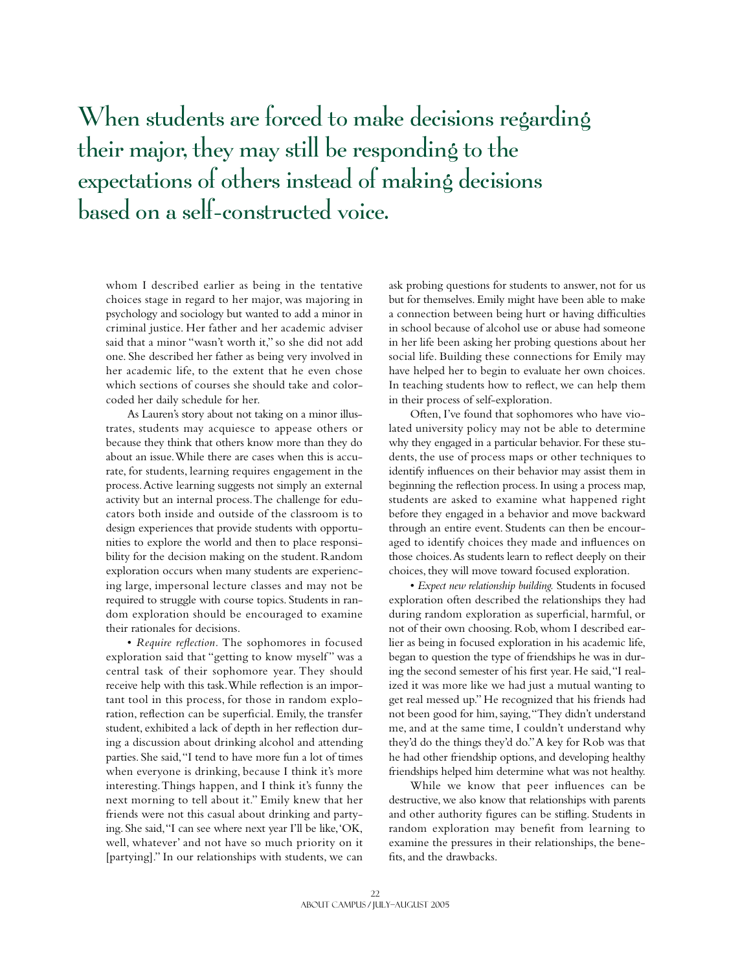# When students are forced to make decisions regarding their major, they may still be responding to the expectations of others instead of making decisions based on a self-constructed voice.

whom I described earlier as being in the tentative choices stage in regard to her major, was majoring in psychology and sociology but wanted to add a minor in criminal justice. Her father and her academic adviser said that a minor "wasn't worth it," so she did not add one. She described her father as being very involved in her academic life, to the extent that he even chose which sections of courses she should take and colorcoded her daily schedule for her.

As Lauren's story about not taking on a minor illustrates, students may acquiesce to appease others or because they think that others know more than they do about an issue.While there are cases when this is accurate, for students, learning requires engagement in the process.Active learning suggests not simply an external activity but an internal process.The challenge for educators both inside and outside of the classroom is to design experiences that provide students with opportunities to explore the world and then to place responsibility for the decision making on the student. Random exploration occurs when many students are experiencing large, impersonal lecture classes and may not be required to struggle with course topics. Students in random exploration should be encouraged to examine their rationales for decisions.

• *Require reflection.* The sophomores in focused exploration said that "getting to know myself" was a central task of their sophomore year. They should receive help with this task.While reflection is an important tool in this process, for those in random exploration, reflection can be superficial. Emily, the transfer student, exhibited a lack of depth in her reflection during a discussion about drinking alcohol and attending parties. She said,"I tend to have more fun a lot of times when everyone is drinking, because I think it's more interesting.Things happen, and I think it's funny the next morning to tell about it." Emily knew that her friends were not this casual about drinking and partying. She said,"I can see where next year I'll be like,'OK, well, whatever' and not have so much priority on it [partying]." In our relationships with students, we can

ask probing questions for students to answer, not for us but for themselves. Emily might have been able to make a connection between being hurt or having difficulties in school because of alcohol use or abuse had someone in her life been asking her probing questions about her social life. Building these connections for Emily may have helped her to begin to evaluate her own choices. In teaching students how to reflect, we can help them in their process of self-exploration.

Often, I've found that sophomores who have violated university policy may not be able to determine why they engaged in a particular behavior. For these students, the use of process maps or other techniques to identify influences on their behavior may assist them in beginning the reflection process. In using a process map, students are asked to examine what happened right before they engaged in a behavior and move backward through an entire event. Students can then be encouraged to identify choices they made and influences on those choices.As students learn to reflect deeply on their choices, they will move toward focused exploration.

• *Expect new relationship building.* Students in focused exploration often described the relationships they had during random exploration as superficial, harmful, or not of their own choosing. Rob, whom I described earlier as being in focused exploration in his academic life, began to question the type of friendships he was in during the second semester of his first year. He said,"I realized it was more like we had just a mutual wanting to get real messed up." He recognized that his friends had not been good for him, saying,"They didn't understand me, and at the same time, I couldn't understand why they'd do the things they'd do."A key for Rob was that he had other friendship options, and developing healthy friendships helped him determine what was not healthy.

While we know that peer influences can be destructive, we also know that relationships with parents and other authority figures can be stifling. Students in random exploration may benefit from learning to examine the pressures in their relationships, the benefits, and the drawbacks.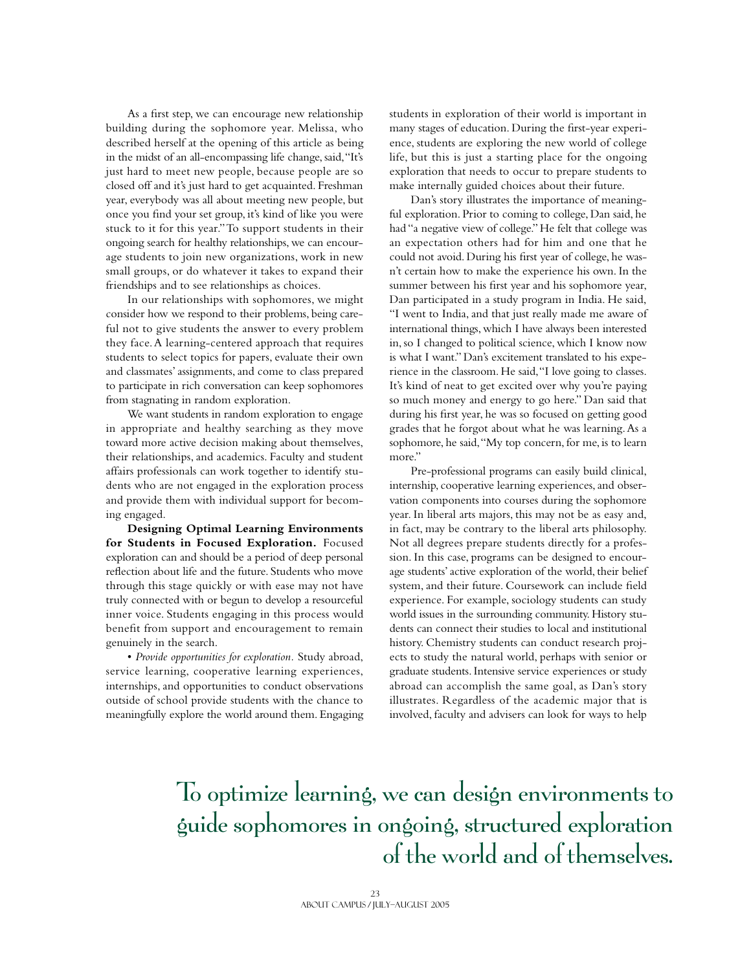As a first step, we can encourage new relationship building during the sophomore year. Melissa, who described herself at the opening of this article as being in the midst of an all-encompassing life change, said,"It's just hard to meet new people, because people are so closed off and it's just hard to get acquainted. Freshman year, everybody was all about meeting new people, but once you find your set group, it's kind of like you were stuck to it for this year."To support students in their ongoing search for healthy relationships, we can encourage students to join new organizations, work in new small groups, or do whatever it takes to expand their friendships and to see relationships as choices.

In our relationships with sophomores, we might consider how we respond to their problems, being careful not to give students the answer to every problem they face.A learning-centered approach that requires students to select topics for papers, evaluate their own and classmates' assignments, and come to class prepared to participate in rich conversation can keep sophomores from stagnating in random exploration.

We want students in random exploration to engage in appropriate and healthy searching as they move toward more active decision making about themselves, their relationships, and academics. Faculty and student affairs professionals can work together to identify students who are not engaged in the exploration process and provide them with individual support for becoming engaged.

**Designing Optimal Learning Environments for Students in Focused Exploration.** Focused exploration can and should be a period of deep personal reflection about life and the future. Students who move through this stage quickly or with ease may not have truly connected with or begun to develop a resourceful inner voice. Students engaging in this process would benefit from support and encouragement to remain genuinely in the search.

• *Provide opportunities for exploration.* Study abroad, service learning, cooperative learning experiences, internships, and opportunities to conduct observations outside of school provide students with the chance to meaningfully explore the world around them. Engaging

students in exploration of their world is important in many stages of education. During the first-year experience, students are exploring the new world of college life, but this is just a starting place for the ongoing exploration that needs to occur to prepare students to make internally guided choices about their future.

Dan's story illustrates the importance of meaningful exploration. Prior to coming to college, Dan said, he had "a negative view of college." He felt that college was an expectation others had for him and one that he could not avoid. During his first year of college, he wasn't certain how to make the experience his own. In the summer between his first year and his sophomore year, Dan participated in a study program in India. He said, "I went to India, and that just really made me aware of international things, which I have always been interested in, so I changed to political science, which I know now is what I want." Dan's excitement translated to his experience in the classroom. He said,"I love going to classes. It's kind of neat to get excited over why you're paying so much money and energy to go here." Dan said that during his first year, he was so focused on getting good grades that he forgot about what he was learning.As a sophomore, he said,"My top concern, for me, is to learn more."

Pre-professional programs can easily build clinical, internship, cooperative learning experiences, and observation components into courses during the sophomore year. In liberal arts majors, this may not be as easy and, in fact, may be contrary to the liberal arts philosophy. Not all degrees prepare students directly for a profession. In this case, programs can be designed to encourage students' active exploration of the world, their belief system, and their future. Coursework can include field experience. For example, sociology students can study world issues in the surrounding community. History students can connect their studies to local and institutional history. Chemistry students can conduct research projects to study the natural world, perhaps with senior or graduate students. Intensive service experiences or study abroad can accomplish the same goal, as Dan's story illustrates. Regardless of the academic major that is involved, faculty and advisers can look for ways to help

To optimize learning, we can design environments to guide sophomores in ongoing, structured exploration of the world and of themselves.